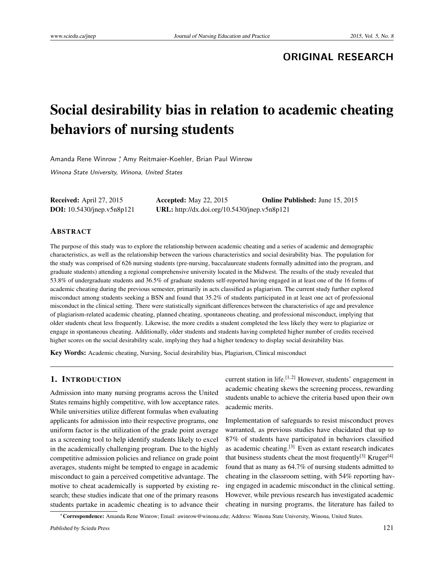# **ORIGINAL RESEARCH**

# Social desirability bias in relation to academic cheating behaviors of nursing students

Amanda Rene Winrow \*, Amy Reitmaier-Koehler, Brian Paul Winrow

Winona State University, Winona, United States

Received: April 27, 2015 Accepted: May 22, 2015 Online Published: June 15, 2015 DOI: 10.5430/jnep.v5n8p121 URL: http://dx.doi.org/10.5430/jnep.v5n8p121

#### ABSTRACT

The purpose of this study was to explore the relationship between academic cheating and a series of academic and demographic characteristics, as well as the relationship between the various characteristics and social desirability bias. The population for the study was comprised of 626 nursing students (pre-nursing, baccalaureate students formally admitted into the program, and graduate students) attending a regional comprehensive university located in the Midwest. The results of the study revealed that 53.8% of undergraduate students and 36.5% of graduate students self-reported having engaged in at least one of the 16 forms of academic cheating during the previous semester, primarily in acts classified as plagiarism. The current study further explored misconduct among students seeking a BSN and found that 35.2% of students participated in at least one act of professional misconduct in the clinical setting. There were statistically significant differences between the characteristics of age and prevalence of plagiarism-related academic cheating, planned cheating, spontaneous cheating, and professional misconduct, implying that older students cheat less frequently. Likewise, the more credits a student completed the less likely they were to plagiarize or engage in spontaneous cheating. Additionally, older students and students having completed higher number of credits received higher scores on the social desirability scale, implying they had a higher tendency to display social desirability bias.

Key Words: Academic cheating, Nursing, Social desirability bias, Plagiarism, Clinical misconduct

## 1. INTRODUCTION

Admission into many nursing programs across the United States remains highly competitive, with low acceptance rates. While universities utilize different formulas when evaluating applicants for admission into their respective programs, one uniform factor is the utilization of the grade point average as a screening tool to help identify students likely to excel in the academically challenging program. Due to the highly competitive admission policies and reliance on grade point averages, students might be tempted to engage in academic misconduct to gain a perceived competitive advantage. The motive to cheat academically is supported by existing research; these studies indicate that one of the primary reasons students partake in academic cheating is to advance their

current station in life.<sup>[\[1,](#page-12-0) [2\]](#page-12-1)</sup> However, students' engagement in academic cheating skews the screening process, rewarding students unable to achieve the criteria based upon their own academic merits.

Implementation of safeguards to resist misconduct proves warranted, as previous studies have elucidated that up to 87% of students have participated in behaviors classified as academic cheating.[\[3\]](#page-12-2) Even as extant research indicates that business students cheat the most frequently<sup>[\[3\]](#page-12-2)</sup> Kruger<sup>[\[4\]](#page-12-3)</sup> found that as many as 64.7% of nursing students admitted to cheating in the classroom setting, with 54% reporting having engaged in academic misconduct in the clinical setting. However, while previous research has investigated academic cheating in nursing programs, the literature has failed to

<sup>∗</sup>Correspondence: Amanda Rene Winrow; Email: awinrow@winona.edu; Address: Winona State University, Winona, United States.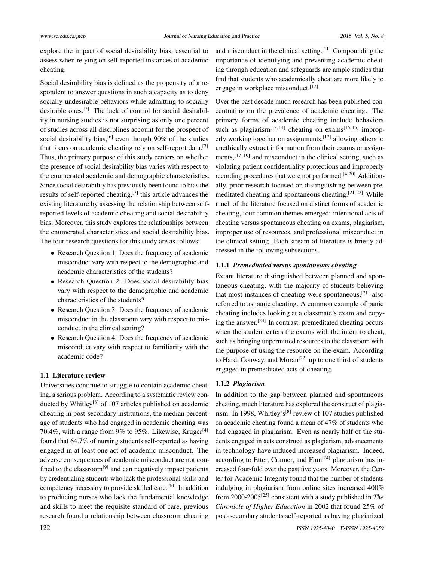explore the impact of social desirability bias, essential to assess when relying on self-reported instances of academic cheating.

Social desirability bias is defined as the propensity of a respondent to answer questions in such a capacity as to deny socially undesirable behaviors while admitting to socially desirable ones.<sup>[\[5\]](#page-12-4)</sup> The lack of control for social desirability in nursing studies is not surprising as only one percent of studies across all disciplines account for the prospect of social desirability bias, <sup>[\[6\]](#page-12-5)</sup> even though 90% of the studies that focus on academic cheating rely on self-report data.<sup>[\[7\]](#page-12-6)</sup> Thus, the primary purpose of this study centers on whether the presence of social desirability bias varies with respect to the enumerated academic and demographic characteristics. Since social desirability has previously been found to bias the results of self-reported cheating,<sup>[\[7\]](#page-12-6)</sup> this article advances the existing literature by assessing the relationship between selfreported levels of academic cheating and social desirability bias. Moreover, this study explores the relationships between the enumerated characteristics and social desirability bias. The four research questions for this study are as follows:

- Research Question 1: Does the frequency of academic misconduct vary with respect to the demographic and academic characteristics of the students?
- Research Question 2: Does social desirability bias vary with respect to the demographic and academic characteristics of the students?
- Research Question 3: Does the frequency of academic misconduct in the classroom vary with respect to misconduct in the clinical setting?
- Research Ouestion 4: Does the frequency of academic misconduct vary with respect to familiarity with the academic code?

#### 1.1 Literature review

Universities continue to struggle to contain academic cheating, a serious problem. According to a systematic review con-ducted by Whitley<sup>[\[8\]](#page-12-7)</sup> of 107 articles published on academic cheating in post-secondary institutions, the median percentage of students who had engaged in academic cheating was 70.4%, with a range from 9% to 95%. Likewise, Kruger<sup>[\[4\]](#page-12-3)</sup> found that 64.7% of nursing students self-reported as having engaged in at least one act of academic misconduct. The adverse consequences of academic misconduct are not con-fined to the classroom<sup>[\[9\]](#page-12-8)</sup> and can negatively impact patients by credentialing students who lack the professional skills and competency necessary to provide skilled care.<sup>[\[10\]](#page-12-9)</sup> In addition to producing nurses who lack the fundamental knowledge and skills to meet the requisite standard of care, previous research found a relationship between classroom cheating

and misconduct in the clinical setting.<sup>[\[11\]](#page-12-10)</sup> Compounding the importance of identifying and preventing academic cheating through education and safeguards are ample studies that find that students who academically cheat are more likely to engage in workplace misconduct.<sup>[\[12\]](#page-12-11)</sup>

Over the past decade much research has been published concentrating on the prevalence of academic cheating. The primary forms of academic cheating include behaviors such as plagiarism<sup>[\[13,](#page-13-0)[14\]](#page-13-1)</sup> cheating on exams<sup>[\[15,](#page-13-2)[16\]](#page-13-3)</sup> improp-erly working together on assignments,<sup>[\[17\]](#page-13-4)</sup> allowing others to unethically extract information from their exams or assign-ments,<sup>[\[17–](#page-13-4)[19\]](#page-13-5)</sup> and misconduct in the clinical setting, such as violating patient confidentiality protections and improperly recording procedures that were not performed.<sup>[\[4,](#page-12-3) [20\]](#page-13-6)</sup> Additionally, prior research focused on distinguishing between premeditated cheating and spontaneous cheating.[\[21,](#page-13-7) [22\]](#page-13-8) While much of the literature focused on distinct forms of academic cheating, four common themes emerged: intentional acts of cheating versus spontaneous cheating on exams, plagiarism, improper use of resources, and professional misconduct in the clinical setting. Each stream of literature is briefly addressed in the following subsections.

# 1.1.1 *Premeditated versus spontaneous cheating*

Extant literature distinguished between planned and spontaneous cheating, with the majority of students believing that most instances of cheating were spontaneous,<sup>[\[21\]](#page-13-7)</sup> also referred to as panic cheating. A common example of panic cheating includes looking at a classmate's exam and copy-ing the answer.<sup>[\[23\]](#page-13-9)</sup> In contrast, premeditated cheating occurs when the student enters the exams with the intent to cheat, such as bringing unpermitted resources to the classroom with the purpose of using the resource on the exam. According to Hard, Conway, and Moran<sup>[\[22\]](#page-13-8)</sup> up to one third of students engaged in premeditated acts of cheating.

#### 1.1.2 *Plagiarism*

In addition to the gap between planned and spontaneous cheating, much literature has explored the construct of plagia-rism. In 1998, Whitley's<sup>[\[8\]](#page-12-7)</sup> review of 107 studies published on academic cheating found a mean of 47% of students who had engaged in plagiarism. Even as nearly half of the students engaged in acts construed as plagiarism, advancements in technology have induced increased plagiarism. Indeed, according to Etter, Cramer, and  $Finn^{[24]}$  $Finn^{[24]}$  $Finn^{[24]}$  plagiarism has increased four-fold over the past five years. Moreover, the Center for Academic Integrity found that the number of students indulging in plagiarism from online sites increased 400% from 2000-2005[\[25\]](#page-13-11) consistent with a study published in *The Chronicle of Higher Education* in 2002 that found 25% of post-secondary students self-reported as having plagiarized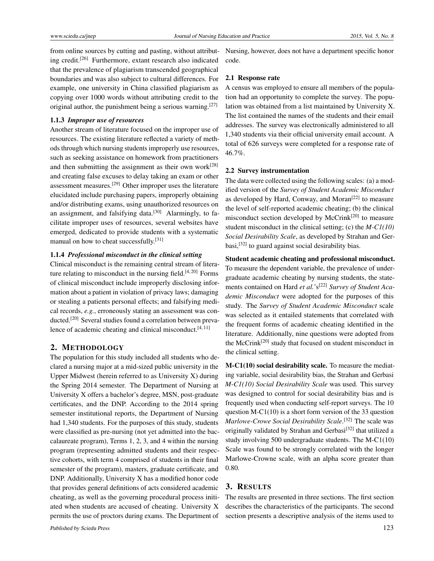from online sources by cutting and pasting, without attributing credit.[\[26\]](#page-13-12) Furthermore, extant research also indicated that the prevalence of plagiarism transcended geographical boundaries and was also subject to cultural differences. For example, one university in China classified plagiarism as copying over 1000 words without attributing credit to the original author, the punishment being a serious warning.<sup>[\[27\]](#page-13-13)</sup>

# 1.1.3 *Improper use of resources*

Another stream of literature focused on the improper use of resources. The existing literature reflected a variety of methods through which nursing students improperly use resources, such as seeking assistance on homework from practitioners and then submitting the assignment as their own work $[28]$ and creating false excuses to delay taking an exam or other assessment measures.[\[29\]](#page-13-15) Other improper uses the literature elucidated include purchasing papers, improperly obtaining and/or distributing exams, using unauthorized resources on an assignment, and falsifying data.<sup>[\[30\]](#page-13-16)</sup> Alarmingly, to facilitate improper uses of resources, several websites have emerged, dedicated to provide students with a systematic manual on how to cheat successfully.<sup>[\[31\]](#page-13-17)</sup>

### 1.1.4 *Professional misconduct in the clinical setting*

Clinical misconduct is the remaining central stream of literature relating to misconduct in the nursing field. $[4, 20]$  $[4, 20]$  $[4, 20]$  Forms of clinical misconduct include improperly disclosing information about a patient in violation of privacy laws; damaging or stealing a patients personal effects; and falsifying medical records, *e.g.*, erroneously stating an assessment was con-ducted.<sup>[\[20\]](#page-13-6)</sup> Several studies found a correlation between prevalence of academic cheating and clinical misconduct. $[4, 11]$  $[4, 11]$  $[4, 11]$ 

#### 2. METHODOLOGY

The population for this study included all students who declared a nursing major at a mid-sized public university in the Upper Midwest (herein referred to as University X) during the Spring 2014 semester. The Department of Nursing at University X offers a bachelor's degree, MSN, post-graduate certificates, and the DNP. According to the 2014 spring semester institutional reports, the Department of Nursing had 1,340 students. For the purposes of this study, students were classified as pre-nursing (not yet admitted into the baccalaureate program), Terms 1, 2, 3, and 4 within the nursing program (representing admitted students and their respective cohorts, with term 4 comprised of students in their final semester of the program), masters, graduate certificate, and DNP. Additionally, University X has a modified honor code that provides general definitions of acts considered academic cheating, as well as the governing procedural process initiated when students are accused of cheating. University X permits the use of proctors during exams. The Department of

Nursing, however, does not have a department specific honor code.

#### 2.1 Response rate

A census was employed to ensure all members of the population had an opportunity to complete the survey. The population was obtained from a list maintained by University X. The list contained the names of the students and their email addresses. The survey was electronically administered to all 1,340 students via their official university email account. A total of 626 surveys were completed for a response rate of 46.7%.

#### 2.2 Survey instrumentation

The data were collected using the following scales: (a) a modified version of the *Survey of Student Academic Misconduct* as developed by Hard, Conway, and Moran<sup>[\[22\]](#page-13-8)</sup> to measure the level of self-reported academic cheating; (b) the clinical misconduct section developed by McCrink<sup>[\[20\]](#page-13-6)</sup> to measure student misconduct in the clinical setting; (c) the *M-C1(10) Social Desirability Scale*, as developed by Strahan and Ger-basi,<sup>[\[32\]](#page-13-18)</sup> to guard against social desirability bias.

# Student academic cheating and professional misconduct.

To measure the dependent variable, the prevalence of undergraduate academic cheating by nursing students, the statements contained on Hard *et al.*'s[\[22\]](#page-13-8) *Survey of Student Academic Misconduct* were adopted for the purposes of this study. The *Survey of Student Academic Misconduct* scale was selected as it entailed statements that correlated with the frequent forms of academic cheating identified in the literature. Additionally, nine questions were adopted from the McCrink<sup>[\[20\]](#page-13-6)</sup> study that focused on student misconduct in the clinical setting.

M-C1(10) social desirability scale. To measure the mediating variable, social desirability bias, the Strahan and Gerbasi *M-C1(10) Social Desirability Scale* was used. This survey was designed to control for social desirability bias and is frequently used when conducting self-report surveys. The 10 question M-C1(10) is a short form version of the 33 question *Marlowe-Crowe Social Desirability Scale*. [\[32\]](#page-13-18) The scale was originally validated by Strahan and Gerbasi<sup>[\[32\]](#page-13-18)</sup> that utilized a study involving 500 undergraduate students. The M-C1(10) Scale was found to be strongly correlated with the longer Marlowe-Crowne scale, with an alpha score greater than 0.80.

# 3. RESULTS

The results are presented in three sections. The first section describes the characteristics of the participants. The second section presents a descriptive analysis of the items used to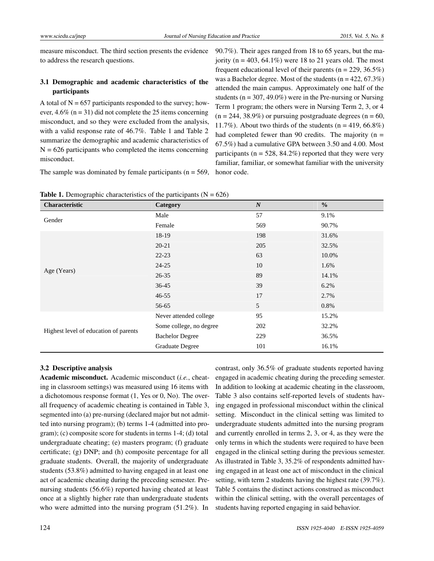measure misconduct. The third section presents the evidence to address the research questions.

# 3.1 Demographic and academic characteristics of the participants

A total of  $N = 657$  participants responded to the survey; however,  $4.6\%$  (n = 31) did not complete the 25 items concerning misconduct, and so they were excluded from the analysis, with a valid response rate of 46.7%. Table 1 and Table 2 summarize the demographic and academic characteristics of  $N = 626$  participants who completed the items concerning misconduct.

90.7%). Their ages ranged from 18 to 65 years, but the majority ( $n = 403, 64.1\%$ ) were 18 to 21 years old. The most frequent educational level of their parents ( $n = 229, 36.5\%$ ) was a Bachelor degree. Most of the students  $(n = 422, 67.3\%)$ attended the main campus. Approximately one half of the students ( $n = 307, 49.0\%$ ) were in the Pre-nursing or Nursing Term 1 program; the others were in Nursing Term 2, 3, or 4  $(n = 244, 38.9\%)$  or pursuing postgraduate degrees  $(n = 60,$ 11.7%). About two thirds of the students ( $n = 419, 66.8\%$ ) had completed fewer than 90 credits. The majority  $(n =$ 67.5%) had a cumulative GPA between 3.50 and 4.00. Most participants ( $n = 528$ , 84.2%) reported that they were very familiar, familiar, or somewhat familiar with the university honor code.

The sample was dominated by female participants ( $n = 569$ ,

**Table 1.** Demographic characteristics of the participants  $(N = 626)$ 

| $\sigma$ T<br>Characteristic          | Category                | $\boldsymbol{N}$ | $\frac{0}{0}$ |
|---------------------------------------|-------------------------|------------------|---------------|
|                                       | Male                    | 57               | 9.1%          |
| Gender                                | Female                  | 569              | 90.7%         |
|                                       | 18-19                   | 198              | 31.6%         |
|                                       | $20 - 21$               | 205              | 32.5%         |
|                                       | $22 - 23$               | 63               | 10.0%         |
|                                       | $24 - 25$               | 10               | 1.6%          |
| Age (Years)                           | $26 - 35$               | 89               | 14.1%         |
|                                       | $36 - 45$               | 39               | 6.2%          |
|                                       | $46 - 55$               | 17               | 2.7%          |
|                                       | 56-65                   | 5                | 0.8%          |
|                                       | Never attended college  | 95               | 15.2%         |
|                                       | Some college, no degree | 202              | 32.2%         |
| Highest level of education of parents | <b>Bachelor Degree</b>  | 229              | 36.5%         |
|                                       | Graduate Degree         | 101              | 16.1%         |

#### 3.2 Descriptive analysis

Academic misconduct. Academic misconduct (*i.e.*, cheating in classroom settings) was measured using 16 items with a dichotomous response format (1, Yes or 0, No). The overall frequency of academic cheating is contained in Table 3, segmented into (a) pre-nursing (declared major but not admitted into nursing program); (b) terms 1-4 (admitted into program); (c) composite score for students in terms 1-4; (d) total undergraduate cheating; (e) masters program; (f) graduate certificate; (g) DNP; and (h) composite percentage for all graduate students. Overall, the majority of undergraduate students (53.8%) admitted to having engaged in at least one act of academic cheating during the preceding semester. Prenursing students (56.6%) reported having cheated at least once at a slightly higher rate than undergraduate students who were admitted into the nursing program (51.2%). In

contrast, only 36.5% of graduate students reported having engaged in academic cheating during the preceding semester. In addition to looking at academic cheating in the classroom, Table 3 also contains self-reported levels of students having engaged in professional misconduct within the clinical setting. Misconduct in the clinical setting was limited to undergraduate students admitted into the nursing program and currently enrolled in terms 2, 3, or 4, as they were the only terms in which the students were required to have been engaged in the clinical setting during the previous semester. As illustrated in Table 3, 35.2% of respondents admitted having engaged in at least one act of misconduct in the clinical setting, with term 2 students having the highest rate (39.7%). Table 5 contains the distinct actions construed as misconduct within the clinical setting, with the overall percentages of students having reported engaging in said behavior.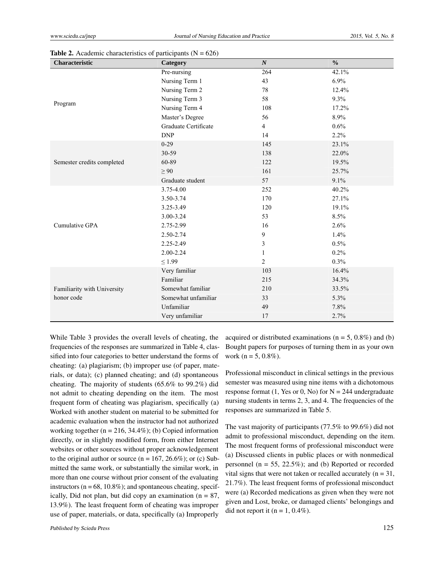| Characteristic              | Category             | $\boldsymbol{N}$ | $\frac{0}{0}$ |
|-----------------------------|----------------------|------------------|---------------|
|                             | Pre-nursing          | 264              | 42.1%         |
|                             | Nursing Term 1       | 43               | $6.9\%$       |
|                             | Nursing Term 2       | 78               | 12.4%         |
|                             | Nursing Term 3       | 58               | 9.3%          |
| Program                     | Nursing Term 4       | 108              | 17.2%         |
|                             | Master's Degree      | 56               | 8.9%          |
|                             | Graduate Certificate | $\overline{4}$   | 0.6%          |
|                             | <b>DNP</b>           | 14               | 2.2%          |
|                             | $0 - 29$             | 145              | 23.1%         |
|                             | 30-59                | 138              | 22.0%         |
| Semester credits completed  | 60-89                | 122              | 19.5%         |
|                             | $\geq 90$            | 161              | 25.7%         |
|                             | Graduate student     | 57               | 9.1%          |
|                             | 3.75-4.00            | 252              | 40.2%         |
|                             | 3.50-3.74            | 170              | 27.1%         |
|                             | 3.25-3.49            | 120              | 19.1%         |
|                             | 3.00-3.24            | 53               | 8.5%          |
| Cumulative GPA              | 2.75-2.99            | 16               | 2.6%          |
|                             | 2.50-2.74            | 9                | 1.4%          |
|                             | 2.25-2.49            | 3                | 0.5%          |
|                             | 2.00-2.24            | 1                | 0.2%          |
|                             | $\leq 1.99$          | $\overline{c}$   | 0.3%          |
|                             | Very familiar        | 103              | 16.4%         |
|                             | Familiar             | 215              | 34.3%         |
| Familiarity with University | Somewhat familiar    | 210              | 33.5%         |
| honor code                  | Somewhat unfamiliar  | 33               | 5.3%          |
|                             | Unfamiliar           | 49               | 7.8%          |
|                             | Very unfamiliar      | 17               | 2.7%          |

**Table 2.** Academic characteristics of participants  $(N = 626)$ 

While Table 3 provides the overall levels of cheating, the frequencies of the responses are summarized in Table 4, classified into four categories to better understand the forms of cheating: (a) plagiarism; (b) improper use (of paper, materials, or data); (c) planned cheating; and (d) spontaneous cheating. The majority of students (65.6% to 99.2%) did not admit to cheating depending on the item. The most frequent form of cheating was plagiarism, specifically (a) Worked with another student on material to be submitted for academic evaluation when the instructor had not authorized working together ( $n = 216, 34.4\%$ ); (b) Copied information directly, or in slightly modified form, from either Internet websites or other sources without proper acknowledgement to the original author or source ( $n = 167, 26.6\%$ ); or (c) Submitted the same work, or substantially the similar work, in more than one course without prior consent of the evaluating instructors ( $n = 68$ , 10.8%); and spontaneous cheating, specifically, Did not plan, but did copy an examination  $(n = 87)$ , 13.9%). The least frequent form of cheating was improper use of paper, materials, or data, specifically (a) Improperly

acquired or distributed examinations ( $n = 5$ , 0.8%) and (b) Bought papers for purposes of turning them in as your own work ( $n = 5, 0.8\%$ ).

Professional misconduct in clinical settings in the previous semester was measured using nine items with a dichotomous response format (1, Yes or 0, No) for  $N = 244$  undergraduate nursing students in terms 2, 3, and 4. The frequencies of the responses are summarized in Table 5.

The vast majority of participants (77.5% to 99.6%) did not admit to professional misconduct, depending on the item. The most frequent forms of professional misconduct were (a) Discussed clients in public places or with nonmedical personnel ( $n = 55$ , 22.5%); and (b) Reported or recorded vital signs that were not taken or recalled accurately  $(n = 31,$ 21.7%). The least frequent forms of professional misconduct were (a) Recorded medications as given when they were not given and Lost, broke, or damaged clients' belongings and did not report it ( $n = 1, 0.4\%$ ).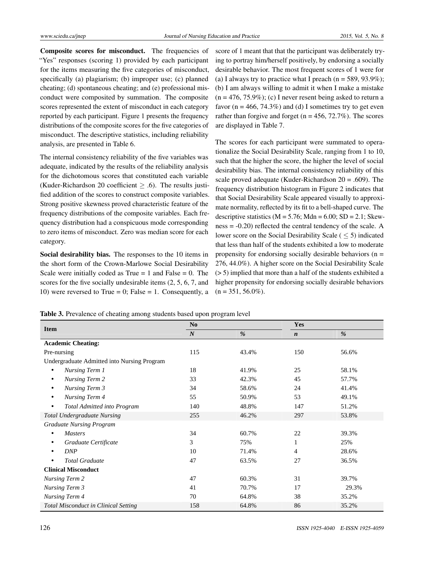Composite scores for misconduct. The frequencies of "Yes" responses (scoring 1) provided by each participant for the items measuring the five categories of misconduct, specifically (a) plagiarism; (b) improper use; (c) planned cheating; (d) spontaneous cheating; and (e) professional misconduct were composited by summation. The composite scores represented the extent of misconduct in each category reported by each participant. Figure 1 presents the frequency distributions of the composite scores for the five categories of misconduct. The descriptive statistics, including reliability analysis, are presented in Table 6.

The internal consistency reliability of the five variables was adequate, indicated by the results of the reliability analysis for the dichotomous scores that constituted each variable (Kuder-Richardson 20 coefficient  $\geq$  .6). The results justified addition of the scores to construct composite variables. Strong positive skewness proved characteristic feature of the frequency distributions of the composite variables. Each frequency distribution had a conspicuous mode corresponding to zero items of misconduct. Zero was median score for each category.

Social desirability bias. The responses to the 10 items in the short form of the Crown-Marlowe Social Desirability Scale were initially coded as  $True = 1$  and  $False = 0$ . The scores for the five socially undesirable items (2, 5, 6, 7, and 10) were reversed to True = 0; False = 1. Consequently, a

score of 1 meant that that the participant was deliberately trying to portray him/herself positively, by endorsing a socially desirable behavior. The most frequent scores of 1 were for (a) I always try to practice what I preach ( $n = 589, 93.9\%$ ); (b) I am always willing to admit it when I make a mistake  $(n = 476, 75.9\%)$ ; (c) I never resent being asked to return a favor ( $n = 466, 74.3\%$ ) and (d) I sometimes try to get even rather than forgive and forget ( $n = 456, 72.7\%$ ). The scores are displayed in Table 7.

The scores for each participant were summated to operationalize the Social Desirability Scale, ranging from 1 to 10, such that the higher the score, the higher the level of social desirability bias. The internal consistency reliability of this scale proved adequate (Kuder-Richardson  $20 = .609$ ). The frequency distribution histogram in Figure 2 indicates that that Social Desirability Scale appeared visually to approximate normality, reflected by its fit to a bell-shaped curve. The descriptive statistics ( $M = 5.76$ ; Mdn = 6.00; SD = 2.1; Skewness = -0.20) reflected the central tendency of the scale. A lower score on the Social Desirability Scale  $(< 5)$  indicated that less than half of the students exhibited a low to moderate propensity for endorsing socially desirable behaviors  $(n =$ 276, 44.0%). A higher score on the Social Desirability Scale (> 5) implied that more than a half of the students exhibited a higher propensity for endorsing socially desirable behaviors  $(n = 351, 56.0\%).$ 

Table 3. Prevalence of cheating among students based upon program level

| <b>Item</b>                                 | N <sub>0</sub>   |               | Yes              |               |
|---------------------------------------------|------------------|---------------|------------------|---------------|
|                                             | $\boldsymbol{N}$ | $\frac{9}{6}$ | $\boldsymbol{n}$ | $\frac{0}{0}$ |
| <b>Academic Cheating:</b>                   |                  |               |                  |               |
| Pre-nursing                                 | 115              | 43.4%         | 150              | 56.6%         |
| Undergraduate Admitted into Nursing Program |                  |               |                  |               |
| <b>Nursing Term 1</b><br>$\bullet$          | 18               | 41.9%         | 25               | 58.1%         |
| <b>Nursing Term 2</b><br>٠                  | 33               | 42.3%         | 45               | 57.7%         |
| <b>Nursing Term 3</b><br>٠                  | 34               | 58.6%         | 24               | 41.4%         |
| <b>Nursing Term 4</b><br>$\bullet$          | 55               | 50.9%         | 53               | 49.1%         |
| <b>Total Admitted into Program</b><br>٠     | 140              | 48.8%         | 147              | 51.2%         |
| <b>Total Undergraduate Nursing</b>          | 255              | 46.2%         | 297              | 53.8%         |
| <b>Graduate Nursing Program</b>             |                  |               |                  |               |
| <b>Masters</b><br>$\bullet$                 | 34               | 60.7%         | 22               | 39.3%         |
| Graduate Certificate                        | 3                | 75%           | 1                | 25%           |
| <b>DNP</b><br>٠                             | 10               | 71.4%         | 4                | 28.6%         |
| <b>Total Graduate</b>                       | 47               | 63.5%         | 27               | 36.5%         |
| <b>Clinical Misconduct</b>                  |                  |               |                  |               |
| Nursing Term 2                              | 47               | 60.3%         | 31               | 39.7%         |
| <b>Nursing Term 3</b>                       | 41               | 70.7%         | 17               | 29.3%         |
| Nursing Term 4                              | 70               | 64.8%         | 38               | 35.2%         |
| <b>Total Misconduct in Clinical Setting</b> | 158              | 64.8%         | 86               | 35.2%         |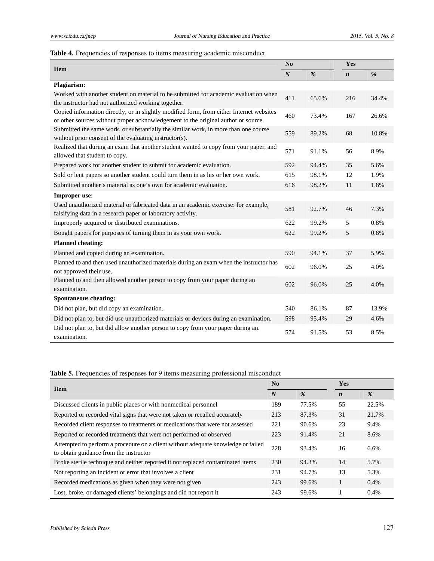# Table 4. Frequencies of responses to items measuring academic misconduct

|                                                                                                                                                                               | N <sub>0</sub>   |       | Yes              |       |
|-------------------------------------------------------------------------------------------------------------------------------------------------------------------------------|------------------|-------|------------------|-------|
| <b>Item</b>                                                                                                                                                                   | $\boldsymbol{N}$ | %     | $\boldsymbol{n}$ | %     |
| Plagiarism:                                                                                                                                                                   |                  |       |                  |       |
| Worked with another student on material to be submitted for academic evaluation when<br>the instructor had not authorized working together.                                   | 411              | 65.6% | 216              | 34.4% |
| Copied information directly, or in slightly modified form, from either Internet websites<br>or other sources without proper acknowledgement to the original author or source. | 460              | 73.4% | 167              | 26.6% |
| Submitted the same work, or substantially the similar work, in more than one course<br>without prior consent of the evaluating instructor(s).                                 | 559              | 89.2% | 68               | 10.8% |
| Realized that during an exam that another student wanted to copy from your paper, and<br>allowed that student to copy.                                                        | 571              | 91.1% | 56               | 8.9%  |
| Prepared work for another student to submit for academic evaluation.                                                                                                          | 592              | 94.4% | 35               | 5.6%  |
| Sold or lent papers so another student could turn them in as his or her own work.                                                                                             | 615              | 98.1% | 12               | 1.9%  |
| Submitted another's material as one's own for academic evaluation.                                                                                                            | 616              | 98.2% | 11               | 1.8%  |
| <b>Improper</b> use:                                                                                                                                                          |                  |       |                  |       |
| Used unauthorized material or fabricated data in an academic exercise: for example,<br>falsifying data in a research paper or laboratory activity.                            | 581              | 92.7% | 46               | 7.3%  |
| Improperly acquired or distributed examinations.                                                                                                                              | 622              | 99.2% | 5                | 0.8%  |
| Bought papers for purposes of turning them in as your own work.                                                                                                               | 622              | 99.2% | 5                | 0.8%  |
| <b>Planned cheating:</b>                                                                                                                                                      |                  |       |                  |       |
| Planned and copied during an examination.                                                                                                                                     | 590              | 94.1% | 37               | 5.9%  |
| Planned to and then used unauthorized materials during an exam when the instructor has<br>not approved their use.                                                             | 602              | 96.0% | 25               | 4.0%  |
| Planned to and then allowed another person to copy from your paper during an<br>examination.                                                                                  | 602              | 96.0% | 25               | 4.0%  |
| <b>Spontaneous cheating:</b>                                                                                                                                                  |                  |       |                  |       |
| Did not plan, but did copy an examination.                                                                                                                                    | 540              | 86.1% | 87               | 13.9% |
| Did not plan to, but did use unauthorized materials or devices during an examination.                                                                                         | 598              | 95.4% | 29               | 4.6%  |
| Did not plan to, but did allow another person to copy from your paper during an.<br>examination.                                                                              | 574              | 91.5% | 53               | 8.5%  |

Table 5. Frequencies of responses for 9 items measuring professional misconduct

| <b>Item</b>                                                                                                                 |     |       | <b>Yes</b>       |       |
|-----------------------------------------------------------------------------------------------------------------------------|-----|-------|------------------|-------|
|                                                                                                                             | N   | $\%$  | $\boldsymbol{n}$ | $\%$  |
| Discussed clients in public places or with nonmedical personnel                                                             | 189 | 77.5% | 55               | 22.5% |
| Reported or recorded vital signs that were not taken or recalled accurately                                                 | 213 | 87.3% | 31               | 21.7% |
| Recorded client responses to treatments or medications that were not assessed                                               | 221 | 90.6% | 23               | 9.4%  |
| Reported or recorded treatments that were not performed or observed                                                         | 223 | 91.4% | 21               | 8.6%  |
| Attempted to perform a procedure on a client without adequate knowledge or failed<br>to obtain guidance from the instructor | 228 | 93.4% | 16               | 6.6%  |
| Broke sterile technique and neither reported it nor replaced contaminated items                                             | 230 | 94.3% | 14               | 5.7%  |
| Not reporting an incident or error that involves a client                                                                   | 231 | 94.7% | 13               | 5.3%  |
| Recorded medications as given when they were not given                                                                      | 243 | 99.6% |                  | 0.4%  |
| Lost, broke, or damaged clients' belongings and did not report it                                                           | 243 | 99.6% |                  | 0.4%  |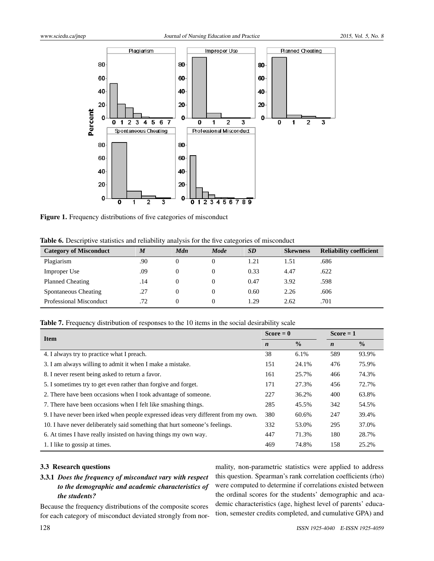

Figure 1. Frequency distributions of five categories of misconduct

Table 6. Descriptive statistics and reliability analysis for the five categories of misconduct

| <b>Category of Misconduct</b>  | $\boldsymbol{M}$ | <b>Mdn</b> | <b>Mode</b> | <b>SD</b> | <b>Skewness</b> | <b>Reliability coefficient</b> |
|--------------------------------|------------------|------------|-------------|-----------|-----------------|--------------------------------|
| Plagiarism                     | .90              |            |             | 1.21      | 1.51            | .686                           |
| Improper Use                   | .09              |            |             | 0.33      | 4.47            | .622                           |
| <b>Planned Cheating</b>        | .14              |            |             | 0.47      | 3.92            | .598                           |
| <b>Spontaneous Cheating</b>    | .27              |            |             | 0.60      | 2.26            | .606                           |
| <b>Professional Misconduct</b> | .72              |            |             | 1.29      | 2.62            | .701                           |

Table 7. Frequency distribution of responses to the 10 items in the social desirability scale

| <b>Item</b>                                                                        |                  | $Score = 0$   | $Score = 1$      |               |  |
|------------------------------------------------------------------------------------|------------------|---------------|------------------|---------------|--|
|                                                                                    | $\boldsymbol{n}$ | $\frac{0}{0}$ | $\boldsymbol{n}$ | $\frac{0}{0}$ |  |
| 4. I always try to practice what I preach.                                         | 38               | $6.1\%$       | 589              | 93.9%         |  |
| 3. I am always willing to admit it when I make a mistake.                          | 151              | 24.1%         | 476              | 75.9%         |  |
| 8. I never resent being asked to return a favor.                                   | 161              | 25.7%         | 466              | 74.3%         |  |
| 5. I sometimes try to get even rather than for give and forget.                    | 171              | 27.3%         | 456              | 72.7%         |  |
| 2. There have been occasions when I took advantage of someone.                     | 227              | 36.2%         | 400              | 63.8%         |  |
| 7. There have been occasions when I felt like smashing things.                     | 285              | 45.5%         | 342              | 54.5%         |  |
| 9. I have never been irked when people expressed ideas very different from my own. | 380              | 60.6%         | 247              | 39.4%         |  |
| 10. I have never deliberately said something that hurt someone's feelings.         | 332              | 53.0%         | 295              | 37.0%         |  |
| 6. At times I have really insisted on having things my own way.                    | 447              | 71.3%         | 180              | 28.7%         |  |
| 1. I like to gossip at times.                                                      | 469              | 74.8%         | 158              | 25.2%         |  |

### 3.3 Research questions

# 3.3.1 *Does the frequency of misconduct vary with respect to the demographic and academic characteristics of the students?*

Because the frequency distributions of the composite scores for each category of misconduct deviated strongly from normality, non-parametric statistics were applied to address this question. Spearman's rank correlation coefficients (rho) were computed to determine if correlations existed between the ordinal scores for the students' demographic and academic characteristics (age, highest level of parents' education, semester credits completed, and cumulative GPA) and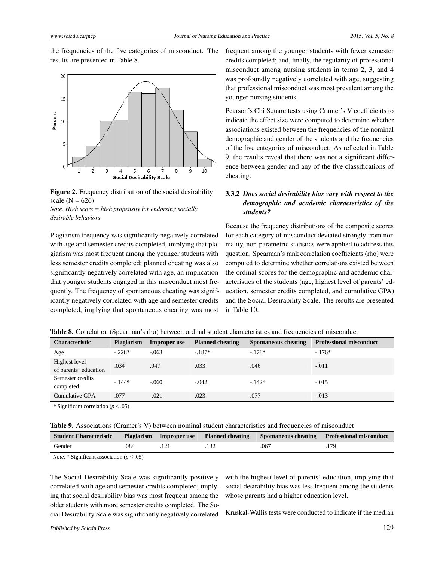the frequencies of the five categories of misconduct. The results are presented in Table 8.



Figure 2. Frequency distribution of the social desirability scale ( $N = 626$ )

*Note. High score = high propensity for endorsing socially desirable behaviors*

Plagiarism frequency was significantly negatively correlated with age and semester credits completed, implying that plagiarism was most frequent among the younger students with less semester credits completed; planned cheating was also significantly negatively correlated with age, an implication that younger students engaged in this misconduct most frequently. The frequency of spontaneous cheating was significantly negatively correlated with age and semester credits completed, implying that spontaneous cheating was most

frequent among the younger students with fewer semester credits completed; and, finally, the regularity of professional misconduct among nursing students in terms 2, 3, and 4 was profoundly negatively correlated with age, suggesting that professional misconduct was most prevalent among the younger nursing students.

Pearson's Chi Square tests using Cramer's V coefficients to indicate the effect size were computed to determine whether associations existed between the frequencies of the nominal demographic and gender of the students and the frequencies of the five categories of misconduct. As reflected in Table 9, the results reveal that there was not a significant difference between gender and any of the five classifications of cheating.

# 3.3.2 *Does social desirability bias vary with respect to the demographic and academic characteristics of the students?*

Because the frequency distributions of the composite scores for each category of misconduct deviated strongly from normality, non-parametric statistics were applied to address this question. Spearman's rank correlation coefficients (rho) were computed to determine whether correlations existed between the ordinal scores for the demographic and academic characteristics of the students (age, highest level of parents' education, semester credits completed, and cumulative GPA) and the Social Desirability Scale. The results are presented in Table 10.

| <b>Characteristic</b>                  | <b>Plagiarism</b> | <b>Improper</b> use | <b>Planned cheating</b> | <b>Spontaneous cheating</b> | <b>Professional misconduct</b> |
|----------------------------------------|-------------------|---------------------|-------------------------|-----------------------------|--------------------------------|
| Age                                    | $-.228*$          | $-.063$             | $-187*$                 | $-.178*$                    | $-176*$                        |
| Highest level<br>of parents' education | .034              | .047                | .033                    | .046                        | $-.011$                        |
| Semester credits<br>completed          | $-.144*$          | $-.060$             | $-.042$                 | $-142*$                     | $-.015$                        |
| Cumulative GPA                         | .077              | $-.021$             | .023                    | .077                        | $-.013$                        |

*\** Significant correlation (*p* < .05)

| <b>Table 9.</b> Associations (Cramer's V) between nominal student characteristics and frequencies of misconduct |  |  |  |  |  |  |
|-----------------------------------------------------------------------------------------------------------------|--|--|--|--|--|--|
|-----------------------------------------------------------------------------------------------------------------|--|--|--|--|--|--|

| <b>Student Characteristic</b> | Plagiarism | Improper use | <b>Planned cheating</b> |      | Spontaneous cheating Professional misconduct |
|-------------------------------|------------|--------------|-------------------------|------|----------------------------------------------|
| Gender                        | 084        |              |                         | .067 |                                              |

*Note.* \* Significant association (*p* < .05)

The Social Desirability Scale was significantly positively correlated with age and semester credits completed, implying that social desirability bias was most frequent among the older students with more semester credits completed. The Social Desirability Scale was significantly negatively correlated

with the highest level of parents' education, implying that social desirability bias was less frequent among the students whose parents had a higher education level.

Kruskal-Wallis tests were conducted to indicate if the median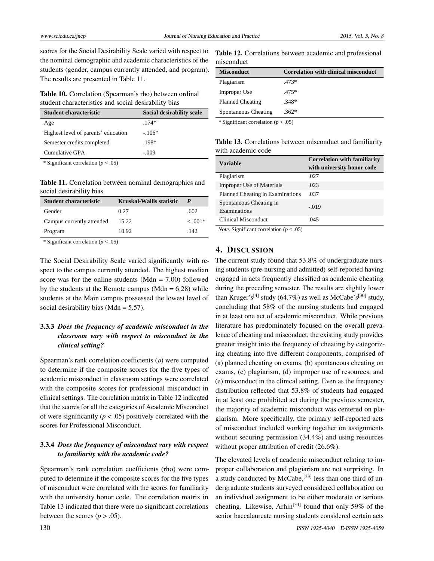scores for the Social Desirability Scale varied with respect to the nominal demographic and academic characteristics of the students (gender, campus currently attended, and program). The results are presented in Table 11.

Table 10. Correlation (Spearman's rho) between ordinal student characteristics and social desirability bias

| Student characteristic              | <b>Social desirability scale</b> |
|-------------------------------------|----------------------------------|
| Age                                 | $174*$                           |
| Highest level of parents' education | $-106*$                          |
| Semester credits completed          | $198*$                           |
| Cumulative GPA                      | $-.009$                          |

*\** Significant correlation (*p* < .05)

Table 11. Correlation between nominal demographics and social desirability bias

| <b>Student characteristic</b> | Kruskal-Wallis statistic |           |
|-------------------------------|--------------------------|-----------|
| Gender                        | 0.27                     | .602      |
| Campus currently attended     | 15.22                    | $< 0.01*$ |
| Program                       | 10.92                    | .142      |

*\** Significant correlation (*p* < .05)

The Social Desirability Scale varied significantly with respect to the campus currently attended. The highest median score was for the online students (Mdn =  $7.00$ ) followed by the students at the Remote campus (Mdn =  $6.28$ ) while students at the Main campus possessed the lowest level of social desirability bias (Mdn =  $5.57$ ).

# 3.3.3 *Does the frequency of academic misconduct in the classroom vary with respect to misconduct in the clinical setting?*

Spearman's rank correlation coefficients (*ρ*) were computed to determine if the composite scores for the five types of academic misconduct in classroom settings were correlated with the composite scores for professional misconduct in clinical settings. The correlation matrix in Table 12 indicated that the scores for all the categories of Academic Misconduct of were significantly  $(p < .05)$  positively correlated with the scores for Professional Misconduct.

# 3.3.4 *Does the frequency of misconduct vary with respect to familiarity with the academic code?*

Spearman's rank correlation coefficients (rho) were computed to determine if the composite scores for the five types of misconduct were correlated with the scores for familiarity with the university honor code. The correlation matrix in Table 13 indicated that there were no significant correlations between the scores ( $p > .05$ ).

Table 12. Correlations between academic and professional misconduct

| <b>Correlation with clinical misconduct</b> |
|---------------------------------------------|
| $.473*$                                     |
| $.475*$                                     |
| $.348*$                                     |
| $362*$                                      |
|                                             |

*\** Significant correlation (*p* < .05)

Table 13. Correlations between misconduct and familiarity with academic code

| <b>Variable</b>                         | <b>Correlation with familiarity</b><br>with university honor code |
|-----------------------------------------|-------------------------------------------------------------------|
| Plagiarism                              | .027                                                              |
| <b>Improper Use of Materials</b>        | .023                                                              |
| Planned Cheating in Examinations        | .037                                                              |
| Spontaneous Cheating in<br>Examinations | $-.019$                                                           |
| Clinical Misconduct                     | .045                                                              |

*Note.* Significant correlation (*p* < .05)

# 4. DISCUSSION

The current study found that 53.8% of undergraduate nursing students (pre-nursing and admitted) self-reported having engaged in acts frequently classified as academic cheating during the preceding semester. The results are slightly lower than Kruger's<sup>[\[4\]](#page-12-3)</sup> study (64.7%) as well as McCabe's<sup>[\[30\]](#page-13-16)</sup> study, concluding that 58% of the nursing students had engaged in at least one act of academic misconduct. While previous literature has predominately focused on the overall prevalence of cheating and misconduct, the existing study provides greater insight into the frequency of cheating by categorizing cheating into five different components, comprised of (a) planned cheating on exams, (b) spontaneous cheating on exams, (c) plagiarism, (d) improper use of resources, and (e) misconduct in the clinical setting. Even as the frequency distribution reflected that 53.8% of students had engaged in at least one prohibited act during the previous semester, the majority of academic misconduct was centered on plagiarism. More specifically, the primary self-reported acts of misconduct included working together on assignments without securing permission (34.4%) and using resources without proper attribution of credit (26.6%).

The elevated levels of academic misconduct relating to improper collaboration and plagiarism are not surprising. In a study conducted by McCabe,<sup>[\[33\]](#page-13-19)</sup> less than one third of undergraduate students surveyed considered collaboration on an individual assignment to be either moderate or serious cheating. Likewise, Arhin<sup>[\[34\]](#page-13-20)</sup> found that only 59% of the senior baccalaureate nursing students considered certain acts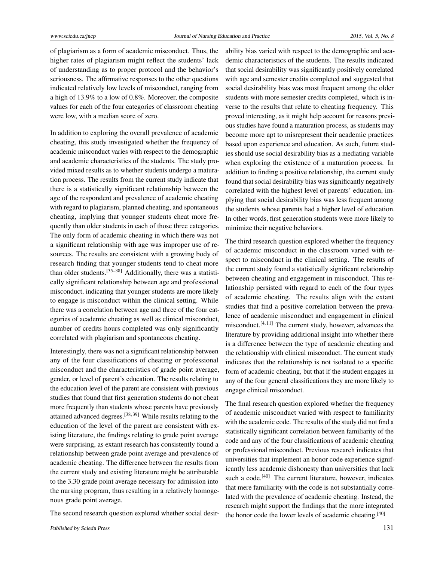of plagiarism as a form of academic misconduct. Thus, the higher rates of plagiarism might reflect the students' lack of understanding as to proper protocol and the behavior's seriousness. The affirmative responses to the other questions indicated relatively low levels of misconduct, ranging from a high of 13.9% to a low of 0.8%. Moreover, the composite values for each of the four categories of classroom cheating were low, with a median score of zero.

In addition to exploring the overall prevalence of academic cheating, this study investigated whether the frequency of academic misconduct varies with respect to the demographic and academic characteristics of the students. The study provided mixed results as to whether students undergo a maturation process. The results from the current study indicate that there is a statistically significant relationship between the age of the respondent and prevalence of academic cheating with regard to plagiarism, planned cheating, and spontaneous cheating, implying that younger students cheat more frequently than older students in each of those three categories. The only form of academic cheating in which there was not a significant relationship with age was improper use of resources. The results are consistent with a growing body of research finding that younger students tend to cheat more than older students.[\[35](#page-13-21)[–38\]](#page-13-22) Additionally, there was a statistically significant relationship between age and professional misconduct, indicating that younger students are more likely to engage is misconduct within the clinical setting. While there was a correlation between age and three of the four categories of academic cheating as well as clinical misconduct, number of credits hours completed was only significantly correlated with plagiarism and spontaneous cheating.

Interestingly, there was not a significant relationship between any of the four classifications of cheating or professional misconduct and the characteristics of grade point average, gender, or level of parent's education. The results relating to the education level of the parent are consistent with previous studies that found that first generation students do not cheat more frequently than students whose parents have previously attained advanced degrees.[\[38,](#page-13-22) [39\]](#page-13-23) While results relating to the education of the level of the parent are consistent with existing literature, the findings relating to grade point average were surprising, as extant research has consistently found a relationship between grade point average and prevalence of academic cheating. The difference between the results from the current study and existing literature might be attributable to the 3.30 grade point average necessary for admission into the nursing program, thus resulting in a relatively homogenous grade point average.

The second research question explored whether social desir-

ability bias varied with respect to the demographic and academic characteristics of the students. The results indicated that social desirability was significantly positively correlated with age and semester credits completed and suggested that social desirability bias was most frequent among the older students with more semester credits completed, which is inverse to the results that relate to cheating frequency. This proved interesting, as it might help account for reasons previous studies have found a maturation process, as students may become more apt to misrepresent their academic practices based upon experience and education. As such, future studies should use social desirability bias as a mediating variable when exploring the existence of a maturation process. In addition to finding a positive relationship, the current study found that social desirability bias was significantly negatively correlated with the highest level of parents' education, implying that social desirability bias was less frequent among the students whose parents had a higher level of education. In other words, first generation students were more likely to minimize their negative behaviors.

The third research question explored whether the frequency of academic misconduct in the classroom varied with respect to misconduct in the clinical setting. The results of the current study found a statistically significant relationship between cheating and engagement in misconduct. This relationship persisted with regard to each of the four types of academic cheating. The results align with the extant studies that find a positive correlation between the prevalence of academic misconduct and engagement in clinical misconduct. $[4, 11]$  $[4, 11]$  $[4, 11]$  The current study, however, advances the literature by providing additional insight into whether there is a difference between the type of academic cheating and the relationship with clinical misconduct. The current study indicates that the relationship is not isolated to a specific form of academic cheating, but that if the student engages in any of the four general classifications they are more likely to engage clinical misconduct.

The final research question explored whether the frequency of academic misconduct varied with respect to familiarity with the academic code. The results of the study did not find a statistically significant correlation between familiarity of the code and any of the four classifications of academic cheating or professional misconduct. Previous research indicates that universities that implement an honor code experience significantly less academic dishonesty than universities that lack such a code.<sup>[\[40\]](#page-13-24)</sup> The current literature, however, indicates that mere familiarity with the code is not substantially correlated with the prevalence of academic cheating. Instead, the research might support the findings that the more integrated the honor code the lower levels of academic cheating.<sup>[\[40\]](#page-13-24)</sup>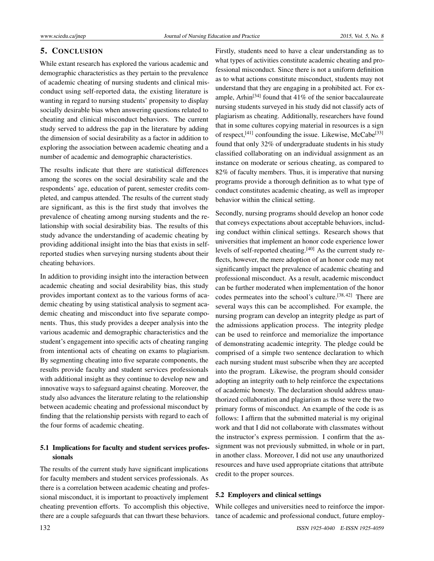# 5. CONCLUSION

While extant research has explored the various academic and demographic characteristics as they pertain to the prevalence of academic cheating of nursing students and clinical misconduct using self-reported data, the existing literature is wanting in regard to nursing students' propensity to display socially desirable bias when answering questions related to cheating and clinical misconduct behaviors. The current study served to address the gap in the literature by adding the dimension of social desirability as a factor in addition to exploring the association between academic cheating and a number of academic and demographic characteristics.

The results indicate that there are statistical differences among the scores on the social desirability scale and the respondents' age, education of parent, semester credits completed, and campus attended. The results of the current study are significant, as this is the first study that involves the prevalence of cheating among nursing students and the relationship with social desirability bias. The results of this study advance the understanding of academic cheating by providing additional insight into the bias that exists in selfreported studies when surveying nursing students about their cheating behaviors.

In addition to providing insight into the interaction between academic cheating and social desirability bias, this study provides important context as to the various forms of academic cheating by using statistical analysis to segment academic cheating and misconduct into five separate components. Thus, this study provides a deeper analysis into the various academic and demographic characteristics and the student's engagement into specific acts of cheating ranging from intentional acts of cheating on exams to plagiarism. By segmenting cheating into five separate components, the results provide faculty and student services professionals with additional insight as they continue to develop new and innovative ways to safeguard against cheating. Moreover, the study also advances the literature relating to the relationship between academic cheating and professional misconduct by finding that the relationship persists with regard to each of the four forms of academic cheating.

# 5.1 Implications for faculty and student services professionals

The results of the current study have significant implications for faculty members and student services professionals. As there is a correlation between academic cheating and professional misconduct, it is important to proactively implement cheating prevention efforts. To accomplish this objective, there are a couple safeguards that can thwart these behaviors. Firstly, students need to have a clear understanding as to what types of activities constitute academic cheating and professional misconduct. Since there is not a uniform definition as to what actions constitute misconduct, students may not understand that they are engaging in a prohibited act. For ex-ample, Arhin<sup>[\[34\]](#page-13-20)</sup> found that 41% of the senior baccalaureate nursing students surveyed in his study did not classify acts of plagiarism as cheating. Additionally, researchers have found that in some cultures copying material in resources is a sign of respect,<sup>[\[41\]](#page-13-25)</sup> confounding the issue. Likewise, McCabe<sup>[\[33\]](#page-13-19)</sup> found that only 32% of undergraduate students in his study classified collaborating on an individual assignment as an instance on moderate or serious cheating, as compared to 82% of faculty members. Thus, it is imperative that nursing programs provide a thorough definition as to what type of conduct constitutes academic cheating, as well as improper behavior within the clinical setting.

Secondly, nursing programs should develop an honor code that conveys expectations about acceptable behaviors, including conduct within clinical settings. Research shows that universities that implement an honor code experience lower levels of self-reported cheating.<sup>[\[40\]](#page-13-24)</sup> As the current study reflects, however, the mere adoption of an honor code may not significantly impact the prevalence of academic cheating and professional misconduct. As a result, academic misconduct can be further moderated when implementation of the honor codes permeates into the school's culture.<sup>[\[38,](#page-13-22)[42\]](#page-13-26)</sup> There are several ways this can be accomplished. For example, the nursing program can develop an integrity pledge as part of the admissions application process. The integrity pledge can be used to reinforce and memorialize the importance of demonstrating academic integrity. The pledge could be comprised of a simple two sentence declaration to which each nursing student must subscribe when they are accepted into the program. Likewise, the program should consider adopting an integrity oath to help reinforce the expectations of academic honesty. The declaration should address unauthorized collaboration and plagiarism as those were the two primary forms of misconduct. An example of the code is as follows: I affirm that the submitted material is my original work and that I did not collaborate with classmates without the instructor's express permission. I confirm that the assignment was not previously submitted, in whole or in part, in another class. Moreover, I did not use any unauthorized resources and have used appropriate citations that attribute credit to the proper sources.

#### 5.2 Employers and clinical settings

While colleges and universities need to reinforce the importance of academic and professional conduct, future employ-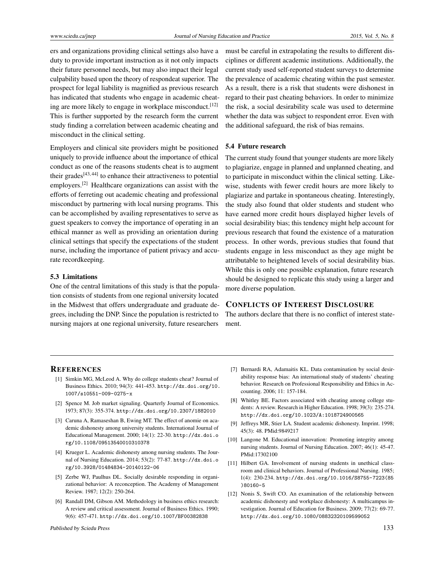ers and organizations providing clinical settings also have a duty to provide important instruction as it not only impacts their future personnel needs, but may also impact their legal culpability based upon the theory of respondeat superior. The prospect for legal liability is magnified as previous research has indicated that students who engage in academic cheat-ing are more likely to engage in workplace misconduct.<sup>[\[12\]](#page-12-11)</sup> This is further supported by the research form the current study finding a correlation between academic cheating and misconduct in the clinical setting.

Employers and clinical site providers might be positioned uniquely to provide influence about the importance of ethical conduct as one of the reasons students cheat is to augment their grades $[43, 44]$  $[43, 44]$  $[43, 44]$  to enhance their attractiveness to potential employers.[\[2\]](#page-12-1) Healthcare organizations can assist with the efforts of ferreting out academic cheating and professional misconduct by partnering with local nursing programs. This can be accomplished by availing representatives to serve as guest speakers to convey the importance of operating in an ethical manner as well as providing an orientation during clinical settings that specify the expectations of the student nurse, including the importance of patient privacy and accurate recordkeeping.

#### 5.3 Limitations

One of the central limitations of this study is that the population consists of students from one regional university located in the Midwest that offers undergraduate and graduate degrees, including the DNP. Since the population is restricted to nursing majors at one regional university, future researchers

must be careful in extrapolating the results to different disciplines or different academic institutions. Additionally, the current study used self-reported student surveys to determine the prevalence of academic cheating within the past semester. As a result, there is a risk that students were dishonest in regard to their past cheating behaviors. In order to minimize the risk, a social desirability scale was used to determine whether the data was subject to respondent error. Even with the additional safeguard, the risk of bias remains.

#### 5.4 Future research

The current study found that younger students are more likely to plagiarize, engage in planned and unplanned cheating, and to participate in misconduct within the clinical setting. Likewise, students with fewer credit hours are more likely to plagiarize and partake in spontaneous cheating. Interestingly, the study also found that older students and student who have earned more credit hours displayed higher levels of social desirability bias; this tendency might help account for previous research that found the existence of a maturation process. In other words, previous studies that found that students engage in less misconduct as they age might be attributable to heightened levels of social desirability bias. While this is only one possible explanation, future research should be designed to replicate this study using a larger and more diverse population.

# CONFLICTS OF INTEREST DISCLOSURE

The authors declare that there is no conflict of interest statement.

#### **REFERENCES**

- <span id="page-12-0"></span>[1] Simkin MG, McLeod A. Why do college students cheat? Journal of Business Ethics. 2010; 94(3): 441-453. [http://dx.doi.org/10.](http://dx.doi.org/10.1007/s10551-009-0275-x) [1007/s10551-009-0275-x](http://dx.doi.org/10.1007/s10551-009-0275-x)
- <span id="page-12-1"></span>[2] Spence M. Job market signaling. Quarterly Journal of Economics. 1973; 87(3): 355-374. <http://dx.doi.org/10.2307/1882010>
- <span id="page-12-2"></span>[3] Caruna A, Ramaseshan B, Ewing MT. The effect of anomie on academic dishonesty among university students. International Journal of Educational Management. 2000; 14(1): 22-30. [http://dx.doi.o](http://dx.doi.org/10.1108/09513540010310378) [rg/10.1108/09513540010310378](http://dx.doi.org/10.1108/09513540010310378)
- <span id="page-12-3"></span>[4] Krueger L. Academic dishonesty among nursing students. The Journal of Nursing Education. 2014; 53(2): 77-87. [http://dx.doi.o](http://dx.doi.org/10.3928/01484834-20140122-06) [rg/10.3928/01484834-20140122-06](http://dx.doi.org/10.3928/01484834-20140122-06)
- <span id="page-12-4"></span>[5] Zerbe WJ, Paulhus DL. Socially desirable responding in organizational behavior: A reconception. The Academy of Management Review. 1987; 12(2): 250-264.
- <span id="page-12-5"></span>[6] Randall DM, Gibson AM. Methodology in business ethics research: A review and critical assessment. Journal of Business Ethics. 1990; 9(6): 457-471. <http://dx.doi.org/10.1007/BF00382838>
- <span id="page-12-6"></span>[7] Bernardi RA, Adamaitis KL. Data contamination by social desirability response bias: An international study of students' cheating behavior. Research on Professional Responsibility and Ethics in Accounting. 2006; 11: 157-184.
- <span id="page-12-7"></span>[8] Whitley BE. Factors associated with cheating among college students: A review. Research in Higher Education. 1998; 39(3): 235-274. <http://dx.doi.org/10.1023/A:1018724900565>
- <span id="page-12-8"></span>[9] Jeffreys MR, Stier LA. Student academic dishonesty. Imprint. 1998; 45(3): 48. PMid:9849217
- <span id="page-12-9"></span>[10] Langone M. Educational innovation: Promoting integrity among nursing students. Journal of Nursing Education. 2007; 46(1): 45-47. PMid:17302100
- <span id="page-12-10"></span>[11] Hilbert GA. Involvement of nursing students in unethical classroom and clinical behaviors. Journal of Professional Nursing. 1985; 1(4): 230-234. [http://dx.doi.org/10.1016/S8755-7223\(85](http://dx.doi.org/10.1016/S8755-7223(85)80160-5) [\)80160-5](http://dx.doi.org/10.1016/S8755-7223(85)80160-5)
- <span id="page-12-11"></span>[12] Nonis S, Swift CO. An examination of the relationship between academic dishonesty and workplace dishonesty: A multicampus investigation. Journal of Education for Business. 2009; 77(2): 69-77. <http://dx.doi.org/10.1080/08832320109599052>